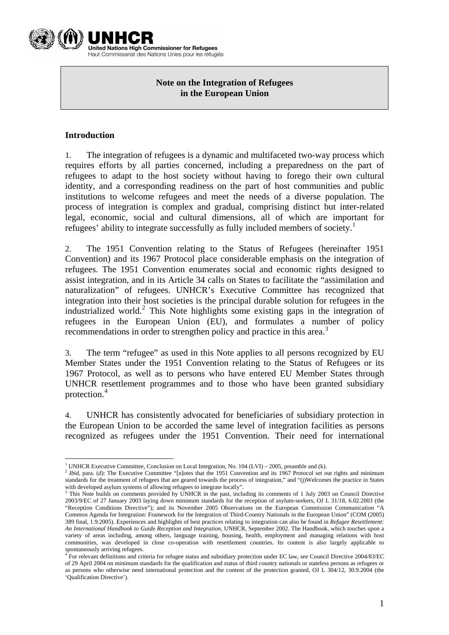

**United Nations High Commissioner for Refugees** Haut Commissariat des Nations Unies pour les réfugiés

# **Note on the Integration of Refugees in the European Union**

## **Introduction**

1. The integration of refugees is a dynamic and multifaceted two-way process which requires efforts by all parties concerned, including a preparedness on the part of refugees to adapt to the host society without having to forego their own cultural identity, and a corresponding readiness on the part of host communities and public institutions to welcome refugees and meet the needs of a diverse population. The process of integration is complex and gradual, comprising distinct but inter-related legal, economic, social and cultural dimensions, all of which are important for refugees' ability to integrate successfully as fully included members of society.<sup>[1](#page-0-0)</sup>

2. The 1951 Convention relating to the Status of Refugees (hereinafter 1951 Convention) and its 1967 Protocol place considerable emphasis on the integration of refugees. The 1951 Convention enumerates social and economic rights designed to assist integration, and in its Article 34 calls on States to facilitate the "assimilation and naturalization" of refugees. UNHCR's Executive Committee has recognized that integration into their host societies is the principal durable solution for refugees in the industrialized world.<sup>[2](#page-0-1)</sup> This Note highlights some existing gaps in the integration of refugees in the European Union (EU), and formulates a number of policy recommendations in order to strengthen policy and practice in this area.<sup>[3](#page-0-2)</sup>

3. The term "refugee" as used in this Note applies to all persons recognized by EU Member States under the 1951 Convention relating to the Status of Refugees or its 1967 Protocol, as well as to persons who have entered EU Member States through UNHCR resettlement programmes and to those who have been granted subsidiary protection.[4](#page-0-3)

4. UNHCR has consistently advocated for beneficiaries of subsidiary protection in the European Union to be accorded the same level of integration facilities as persons recognized as refugees under the 1951 Convention. Their need for international

<sup>&</sup>lt;sup>1</sup> UNHCR Executive Committee, Conclusion on Local Integration, No. 104 (LVI) – 2005, preamble and (k).<br><sup>2</sup> Ikid name (d): The Fragmitte Committee "Falstes that the 1951 Convention and its 1957 Protected set at

<span id="page-0-1"></span><span id="page-0-0"></span><sup>&</sup>lt;sup>2</sup> Ibid, para. (d): The Executive Committee "[n]otes that the 1951 Convention and its 1967 Protocol set out rights and minimum standards for the treatment of refugees that are geared towards the process of integration," and "(j)Welcomes the practice in States

<span id="page-0-2"></span>with developed asylum systems of allowing refugees to integrate locally".<br><sup>3</sup> This Note builds on comments provided by UNHCR in the past, including its comments of 1 July 2003 on Council Directive 2003/9/EC of 27 January 2003 laying down minimum standards for the reception of asylum-seekers, OJ L 31/18, 6.02.2003 (the "Reception Conditions Directive"); and its November 2005 Observations on the European Commission Communication "A Common Agenda for Integration: Framework for the Integration of Third-Country Nationals in the European Union" (COM (2005) 389 final, 1.9.2005). Experiences and highlights of best practices relating to integration can also be found in *Refugee Resettlement: An International Handbook to Guide Reception and Integration,* UNHCR, September 2002. The Handbook, which touches upon a variety of areas including, among others, language training, housing, health, employment and managing relations with host communities, was developed in close co-operation with resettlement countries. Its content is also largely applicable to spontaneously arriving refugees.

<span id="page-0-3"></span><sup>4</sup> For relevant definitions and criteria for refugee status and subsidiary protection under EC law, see Council Directive 2004/83/EC of 29 April 2004 on minimum standards for the qualification and status of third country nationals or stateless persons as refugees or as persons who otherwise need international protection and the content of the protection granted, OJ L 304/12, 30.9.2004 (the 'Qualification Directive').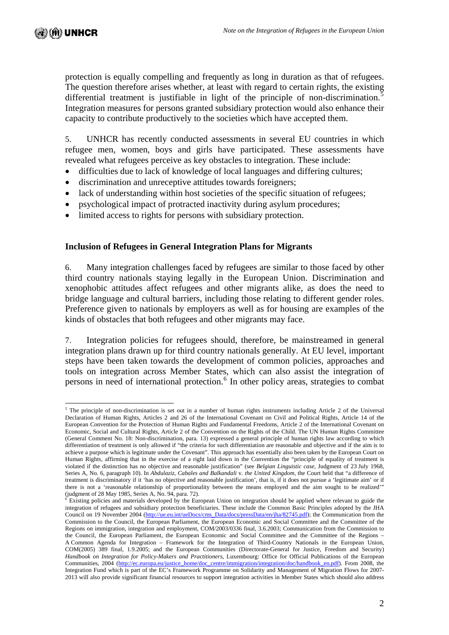protection is equally compelling and frequently as long in duration as that of refugees. The question therefore arises whether, at least with regard to certain rights, the existing differential treatment is justifiable in light of the principle of non-discrimination.<sup>[5](#page-1-0)</sup> Integration measures for persons granted subsidiary protection would also enhance their capacity to contribute productively to the societies which have accepted them.

5. UNHCR has recently conducted assessments in several EU countries in which refugee men, women, boys and girls have participated. These assessments have revealed what refugees perceive as key obstacles to integration. These include:

- difficulties due to lack of knowledge of local languages and differing cultures;
- discrimination and unreceptive attitudes towards foreigners;
- lack of understanding within host societies of the specific situation of refugees;
- psychological impact of protracted inactivity during asylum procedures;
- limited access to rights for persons with subsidiary protection.

#### **Inclusion of Refugees in General Integration Plans for Migrants**

6. Many integration challenges faced by refugees are similar to those faced by other third country nationals staying legally in the European Union. Discrimination and xenophobic attitudes affect refugees and other migrants alike, as does the need to bridge language and cultural barriers, including those relating to different gender roles. Preference given to nationals by employers as well as for housing are examples of the kinds of obstacles that both refugees and other migrants may face.

7. Integration policies for refugees should, therefore, be mainstreamed in general integration plans drawn up for third country nationals generally. At EU level, important steps have been taken towards the development of common policies, approaches and tools on integration across Member States, which can also assist the integration of persons in need of international protection.<sup>[6](#page-1-1)</sup> In other policy areas, strategies to combat

<span id="page-1-0"></span><sup>&</sup>lt;sup>5</sup> The principle of non-discrimination is set out in a number of human rights instruments including Article 2 of the Universal Declaration of Human Rights, Articles 2 and 26 of the International Covenant on Civil and Political Rights, Article 14 of the European Convention for the Protection of Human Rights and Fundamental Freedoms, Article 2 of the International Covenant on Economic, Social and Cultural Rights, Article 2 of the Convention on the Rights of the Child. The UN Human Rights Committee (General Comment No. 18: Non-discrimination, para. 13) expressed a general principle of human rights law according to which differentiation of treatment is only allowed if "the criteria for such differentiation are reasonable and objective and if the aim is to achieve a purpose which is legitimate under the Covenant". This approach has essentially also been taken by the European Court on Human Rights, affirming that in the exercise of a right laid down in the Convention the "principle of equality of treatment is violated if the distinction has no objective and reasonable justification" (see *Belgian Linguistic case,* Judgment of 23 July 1968, Series A, No. 6, paragraph 10). In *Abdulaziz, Cabales and Balkandali* v*. the United Kingdom,* the Court held that "a difference of treatment is discriminatory if it 'has no objective and reasonable justification', that is, if it does not pursue a 'legitimate aim' or if there is not a 'reasonable relationship of proportionality between the means employed and the aim sought to be realized'" (judgment of 28 May 1985, Series A, No. 94, para. 72).

<span id="page-1-1"></span> $6$  Existing policies and materials developed by the European Union on integration should be applied where relevant to guide the integration of refugees and subsidiary protection beneficiaries. These include the Common Basic Principles adopted by the JHA Council on 19 November 2004 ([http://ue.eu.int/ueDocs/cms\\_Data/docs/pressData/en/jha/82745.pdf](http://ue.eu.int/ueDocs/cms_Data/docs/pressData/en/jha/82745.pdf)); the Communication from the Commission to the Council, the European Parliament, the European Economic and Social Committee and the Committee of the Regions on immigration, integration and employment, COM/2003/0336 final, 3.6.2003; Communication from the Commission to the Council, the European Parliament, the European Economic and Social Committee and the Committee of the Regions – A Common Agenda for Integration – Framework for the Integration of Third-Country Nationals in the European Union, COM(2005) 389 final, 1.9.2005; and the European Communities (Directorate-General for Justice, Freedom and Security) *Handbook on Integration for Policy-Makers and Practitioners, Luxembourg: Office for Official Publications of the European* Communities, 2004 ([http://ec.europa.eu/justice\\_home/doc\\_centre/immigration/integration/doc/handbook\\_en.pdf\)](http://ec.europa.eu/justice_home/doc_centre/immigration/integration/doc/handbook_en.pdf). From 2008, the Integration Fund which is part of the EC's Framework Programme on Solidarity and Management of Migration Flows for 2007-2013 will also provide significant financial resources to support integration activities in Member States which should also address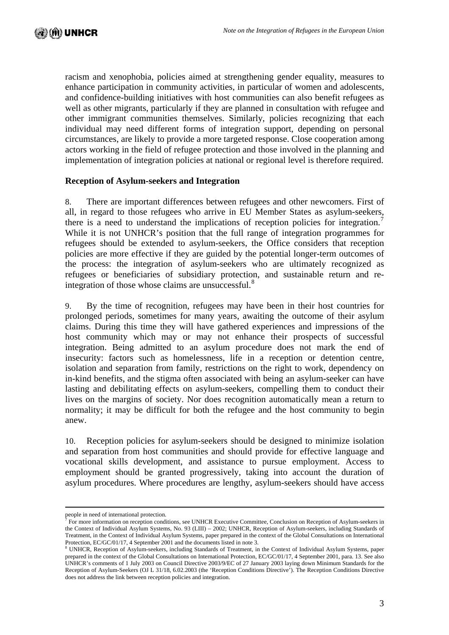racism and xenophobia, policies aimed at strengthening gender equality, measures to enhance participation in community activities, in particular of women and adolescents, and confidence-building initiatives with host communities can also benefit refugees as well as other migrants, particularly if they are planned in consultation with refugee and other immigrant communities themselves. Similarly, policies recognizing that each individual may need different forms of integration support, depending on personal circumstances, are likely to provide a more targeted response. Close cooperation among actors working in the field of refugee protection and those involved in the planning and implementation of integration policies at national or regional level is therefore required.

#### **Reception of Asylum-seekers and Integration**

8. There are important differences between refugees and other newcomers. First of all, in regard to those refugees who arrive in EU Member States as asylum-seekers, there is a need to understand the implications of reception policies for integration.<sup>[7](#page-2-0)</sup> While it is not UNHCR's position that the full range of integration programmes for refugees should be extended to asylum-seekers, the Office considers that reception policies are more effective if they are guided by the potential longer-term outcomes of the process: the integration of asylum-seekers who are ultimately recognized as refugees or beneficiaries of subsidiary protection, and sustainable return and re-integration of those whose claims are unsuccessful.<sup>[8](#page-2-1)</sup>

9. By the time of recognition, refugees may have been in their host countries for prolonged periods, sometimes for many years, awaiting the outcome of their asylum claims. During this time they will have gathered experiences and impressions of the host community which may or may not enhance their prospects of successful integration. Being admitted to an asylum procedure does not mark the end of insecurity: factors such as homelessness, life in a reception or detention centre, isolation and separation from family, restrictions on the right to work, dependency on in-kind benefits, and the stigma often associated with being an asylum-seeker can have lasting and debilitating effects on asylum-seekers, compelling them to conduct their lives on the margins of society. Nor does recognition automatically mean a return to normality; it may be difficult for both the refugee and the host community to begin anew.

10. Reception policies for asylum-seekers should be designed to minimize isolation and separation from host communities and should provide for effective language and vocational skills development, and assistance to pursue employment. Access to employment should be granted progressively, taking into account the duration of asylum procedures. Where procedures are lengthy, asylum-seekers should have access

people in need of international protection.

<span id="page-2-0"></span><sup>&</sup>lt;sup>7</sup> For more information on reception conditions, see UNHCR Executive Committee, Conclusion on Reception of Asylum-seekers in the Context of Individual Asylum Systems, No. 93 (LIII) – 2002; UNHCR, Reception of Asylum-seekers, including Standards of Treatment, in the Context of Individual Asylum Systems, paper prepared in the context of the Global Consultations on International Protection, EC/GC/01/17, 4 September 2001 and the documents listed in note 3.

<span id="page-2-1"></span><sup>&</sup>lt;sup>8</sup> UNHCR, Reception of Asylum-seekers, including Standards of Treatment, in the Context of Individual Asylum Systems, paper prepared in the context of the Global Consultations on International Protection, EC/GC/01/17, 4 September 2001, para. 13. See also UNHCR's comments of 1 July 2003 on Council Directive 2003/9/EC of 27 January 2003 laying down Minimum Standards for the Reception of Asylum-Seekers (OJ L 31/18, 6.02.2003 (the 'Reception Conditions Directive'). The Reception Conditions Directive does not address the link between reception policies and integration.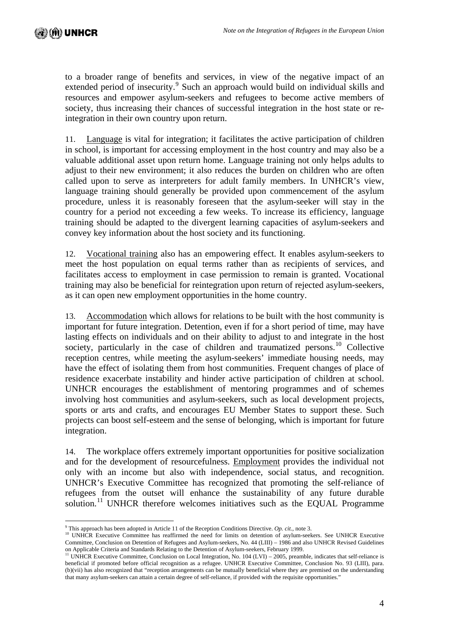$\overline{a}$ 

to a broader range of benefits and services, in view of the negative impact of an extended period of insecurity.<sup>[9](#page-3-0)</sup> Such an approach would build on individual skills and resources and empower asylum-seekers and refugees to become active members of society, thus increasing their chances of successful integration in the host state or reintegration in their own country upon return.

11. Language is vital for integration; it facilitates the active participation of children in school, is important for accessing employment in the host country and may also be a valuable additional asset upon return home. Language training not only helps adults to adjust to their new environment; it also reduces the burden on children who are often called upon to serve as interpreters for adult family members. In UNHCR's view, language training should generally be provided upon commencement of the asylum procedure, unless it is reasonably foreseen that the asylum-seeker will stay in the country for a period not exceeding a few weeks. To increase its efficiency, language training should be adapted to the divergent learning capacities of asylum-seekers and convey key information about the host society and its functioning.

12. Vocational training also has an empowering effect. It enables asylum-seekers to meet the host population on equal terms rather than as recipients of services, and facilitates access to employment in case permission to remain is granted. Vocational training may also be beneficial for reintegration upon return of rejected asylum-seekers, as it can open new employment opportunities in the home country.

13. Accommodation which allows for relations to be built with the host community is important for future integration. Detention, even if for a short period of time, may have lasting effects on individuals and on their ability to adjust to and integrate in the host society, particularly in the case of children and traumatized persons.<sup>[10](#page-3-1)</sup> Collective reception centres, while meeting the asylum-seekers' immediate housing needs, may have the effect of isolating them from host communities. Frequent changes of place of residence exacerbate instability and hinder active participation of children at school. UNHCR encourages the establishment of mentoring programmes and of schemes involving host communities and asylum-seekers, such as local development projects, sports or arts and crafts, and encourages EU Member States to support these. Such projects can boost self-esteem and the sense of belonging, which is important for future integration.

14. The workplace offers extremely important opportunities for positive socialization and for the development of resourcefulness. Employment provides the individual not only with an income but also with independence, social status, and recognition. UNHCR's Executive Committee has recognized that promoting the self-reliance of refugees from the outset will enhance the sustainability of any future durable solution.<sup>[11](#page-3-2)</sup> UNHCR therefore welcomes initiatives such as the EQUAL Programme

<sup>&</sup>lt;sup>9</sup> This approach has been adopted in Article 11 of the Reception Conditions Directive. Op. cit., note 3.

<span id="page-3-1"></span><span id="page-3-0"></span>This approach has been adopted in Article 11 of the Reception Conditions of the Reception of asylum-seekers. See UNHCR Executive Committee has reaffirmed the need for limits on detention of asylum-seekers. See UNHCR Execut Committee, Conclusion on Detention of Refugees and Asylum-seekers, No. 44 (LIII) – 1986 and also UNHCR Revised Guidelines

<span id="page-3-2"></span>on Applicable Criteria and Standards Relating to the Detention of Asylum-seekers, February 1999.<br><sup>11</sup> UNHCR Executive Committee, Conclusion on Local Integration, No. 104 (LVI) – 2005, preamble, indicates that self-relianc beneficial if promoted before official recognition as a refugee. UNHCR Executive Committee, Conclusion No. 93 (LIII), para. (b)(vii) has also recognized that "reception arrangements can be mutually beneficial where they are premised on the understanding that many asylum-seekers can attain a certain degree of self-reliance, if provided with the requisite opportunities."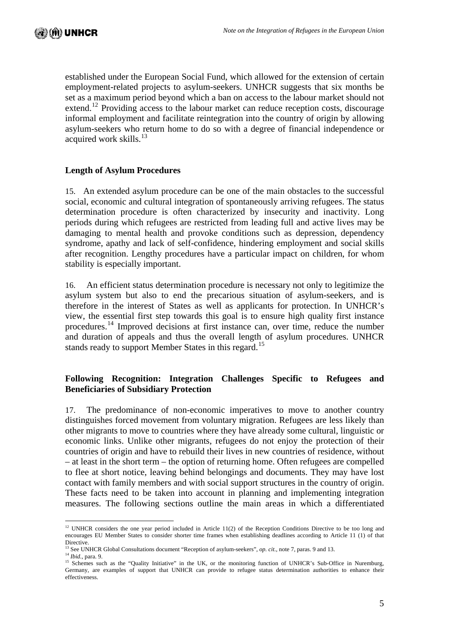established under the European Social Fund, which allowed for the extension of certain employment-related projects to asylum-seekers. UNHCR suggests that six months be set as a maximum period beyond which a ban on access to the labour market should not extend.<sup>[12](#page-4-0)</sup> Providing access to the labour market can reduce reception costs, discourage informal employment and facilitate reintegration into the country of origin by allowing asylum-seekers who return home to do so with a degree of financial independence or acquired work skills. $^{13}$  $^{13}$  $^{13}$ 

#### **Length of Asylum Procedures**

15. An extended asylum procedure can be one of the main obstacles to the successful social, economic and cultural integration of spontaneously arriving refugees. The status determination procedure is often characterized by insecurity and inactivity. Long periods during which refugees are restricted from leading full and active lives may be damaging to mental health and provoke conditions such as depression, dependency syndrome, apathy and lack of self-confidence, hindering employment and social skills after recognition. Lengthy procedures have a particular impact on children, for whom stability is especially important.

16. An efficient status determination procedure is necessary not only to legitimize the asylum system but also to end the precarious situation of asylum-seekers, and is therefore in the interest of States as well as applicants for protection. In UNHCR's view, the essential first step towards this goal is to ensure high quality first instance procedures.[14](#page-4-2) Improved decisions at first instance can, over time, reduce the number and duration of appeals and thus the overall length of asylum procedures. UNHCR stands ready to support Member States in this regard.<sup>[15](#page-4-3)</sup>

## **Following Recognition: Integration Challenges Specific to Refugees and Beneficiaries of Subsidiary Protection**

17. The predominance of non-economic imperatives to move to another country distinguishes forced movement from voluntary migration. Refugees are less likely than other migrants to move to countries where they have already some cultural, linguistic or economic links. Unlike other migrants, refugees do not enjoy the protection of their countries of origin and have to rebuild their lives in new countries of residence, without – at least in the short term – the option of returning home. Often refugees are compelled to flee at short notice, leaving behind belongings and documents. They may have lost contact with family members and with social support structures in the country of origin. These facts need to be taken into account in planning and implementing integration measures. The following sections outline the main areas in which a differentiated

 $\overline{a}$ 

<span id="page-4-0"></span><sup>&</sup>lt;sup>12</sup> UNHCR considers the one year period included in Article 11(2) of the Reception Conditions Directive to be too long and encourages EU Member States to consider shorter time frames when establishing deadlines according to Article 11 (1) of that

Directive.<br><sup>13</sup> See UNHCR Global Consultations document "Reception of asylum-seekers", op. cit., note 7, paras. 9 and 13.

<span id="page-4-3"></span><span id="page-4-2"></span><span id="page-4-1"></span><sup>&</sup>lt;sup>14</sup> Ibid., para. 9.<br><sup>15</sup> Schemes such as the "Quality Initiative" in the UK, or the monitoring function of UNHCR's Sub-Office in Nuremburg, Germany, are examples of support that UNHCR can provide to refugee status determination authorities to enhance their effectiveness.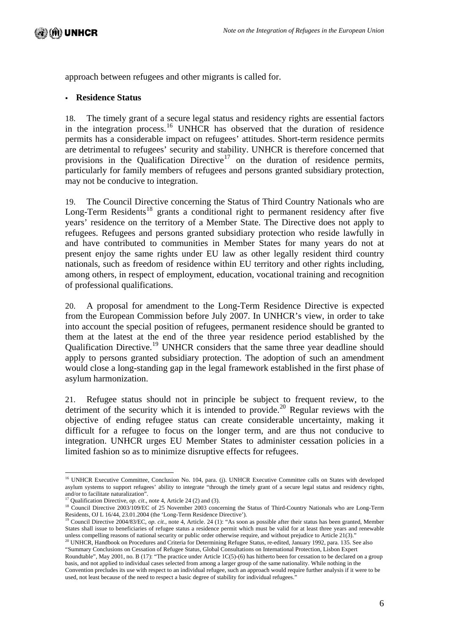approach between refugees and other migrants is called for.

# **Residence Status**

18. The timely grant of a secure legal status and residency rights are essential factors in the integration process.<sup>[16](#page-5-0)</sup> UNHCR has observed that the duration of residence permits has a considerable impact on refugees' attitudes. Short-term residence permits are detrimental to refugees' security and stability. UNHCR is therefore concerned that provisions in the Qualification Directive<sup>[17](#page-5-1)</sup> on the duration of residence permits, particularly for family members of refugees and persons granted subsidiary protection, may not be conducive to integration.

19. The Council Directive concerning the Status of Third Country Nationals who are Long-Term Residents<sup>[18](#page-5-2)</sup> grants a conditional right to permanent residency after five years' residence on the territory of a Member State. The Directive does not apply to refugees. Refugees and persons granted subsidiary protection who reside lawfully in and have contributed to communities in Member States for many years do not at present enjoy the same rights under EU law as other legally resident third country nationals, such as freedom of residence within EU territory and other rights including, among others, in respect of employment, education, vocational training and recognition of professional qualifications.

20. A proposal for amendment to the Long-Term Residence Directive is expected from the European Commission before July 2007. In UNHCR's view, in order to take into account the special position of refugees, permanent residence should be granted to them at the latest at the end of the three year residence period established by the Qualification Directive.[19](#page-5-3) UNHCR considers that the same three year deadline should apply to persons granted subsidiary protection. The adoption of such an amendment would close a long-standing gap in the legal framework established in the first phase of asylum harmonization.

21. Refugee status should not in principle be subject to frequent review, to the detriment of the security which it is intended to provide.<sup>[20](#page-5-4)</sup> Regular reviews with the objective of ending refugee status can create considerable uncertainty, making it difficult for a refugee to focus on the longer term, and are thus not conducive to integration. UNHCR urges EU Member States to administer cessation policies in a limited fashion so as to minimize disruptive effects for refugees.

<span id="page-5-0"></span> $\overline{a}$ <sup>16</sup> UNHCR Executive Committee, Conclusion No. 104, para. (j). UNHCR Executive Committee calls on States with developed asylum systems to support refugees' ability to integrate "through the timely grant of a secure legal status and residency rights,

and/or to facilitate naturalization".<br>
<sup>17</sup> Oualification Directive, *op. cit.*, note 4, Article 24 (2) and (3).

<span id="page-5-2"></span><span id="page-5-1"></span><sup>&</sup>lt;sup>18</sup> Council Directive 2003/109/EC of 25 November 2003 concerning the Status of Third-Country Nationals who are Long-Term<br>Residents, OJ L 16/44, 23.01.2004 (the 'Long-Term Residence Directive').

<span id="page-5-3"></span><sup>&</sup>lt;sup>19</sup> Council Directive 2004/83/EC, *op. cit.*, note 4, Article. 24 (1): "As soon as possible after their status has been granted, Member States shall issue to beneficiaries of refugee status a residence permit which must be valid for at least three years and renewable unless compelling reasons of national security or public order otherwise require, and without prejudice to Article 21(3)."<br><sup>20</sup> UNHCR, Handbook on Procedures and Criteria for Determining Refugee Status, re-edited, January

<span id="page-5-4"></span><sup>&</sup>quot;Summary Conclusions on Cessation of Refugee Status, Global Consultations on International Protection, Lisbon Expert Roundtable", May 2001, no. B (17): "The practice under Article 1C(5)-(6) has hitherto been for cessation to be declared on a group basis, and not applied to individual cases selected from among a larger group of the same nationality. While nothing in the Convention precludes its use with respect to an individual refugee, such an approach would require further analysis if it were to be used, not least because of the need to respect a basic degree of stability for individual refugees."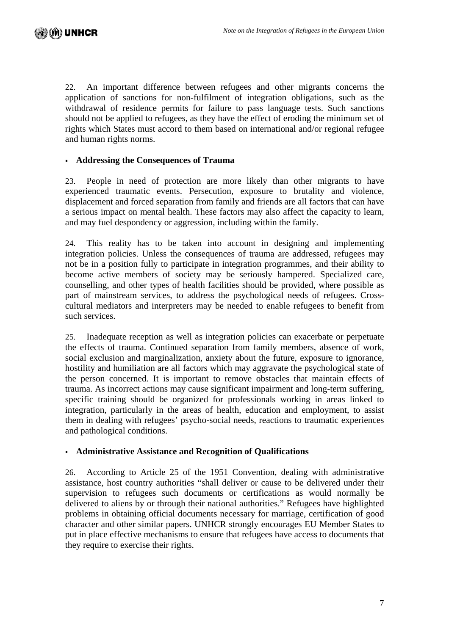22. An important difference between refugees and other migrants concerns the application of sanctions for non-fulfilment of integration obligations, such as the withdrawal of residence permits for failure to pass language tests. Such sanctions should not be applied to refugees, as they have the effect of eroding the minimum set of rights which States must accord to them based on international and/or regional refugee and human rights norms.

# **Addressing the Consequences of Trauma**

23. People in need of protection are more likely than other migrants to have experienced traumatic events. Persecution, exposure to brutality and violence, displacement and forced separation from family and friends are all factors that can have a serious impact on mental health. These factors may also affect the capacity to learn, and may fuel despondency or aggression, including within the family.

24. This reality has to be taken into account in designing and implementing integration policies. Unless the consequences of trauma are addressed, refugees may not be in a position fully to participate in integration programmes, and their ability to become active members of society may be seriously hampered. Specialized care, counselling, and other types of health facilities should be provided, where possible as part of mainstream services, to address the psychological needs of refugees. Crosscultural mediators and interpreters may be needed to enable refugees to benefit from such services.

25. Inadequate reception as well as integration policies can exacerbate or perpetuate the effects of trauma. Continued separation from family members, absence of work, social exclusion and marginalization, anxiety about the future, exposure to ignorance, hostility and humiliation are all factors which may aggravate the psychological state of the person concerned. It is important to remove obstacles that maintain effects of trauma. As incorrect actions may cause significant impairment and long-term suffering, specific training should be organized for professionals working in areas linked to integration, particularly in the areas of health, education and employment, to assist them in dealing with refugees' psycho-social needs, reactions to traumatic experiences and pathological conditions.

# **Administrative Assistance and Recognition of Qualifications**

26. According to Article 25 of the 1951 Convention, dealing with administrative assistance, host country authorities "shall deliver or cause to be delivered under their supervision to refugees such documents or certifications as would normally be delivered to aliens by or through their national authorities." Refugees have highlighted problems in obtaining official documents necessary for marriage, certification of good character and other similar papers. UNHCR strongly encourages EU Member States to put in place effective mechanisms to ensure that refugees have access to documents that they require to exercise their rights.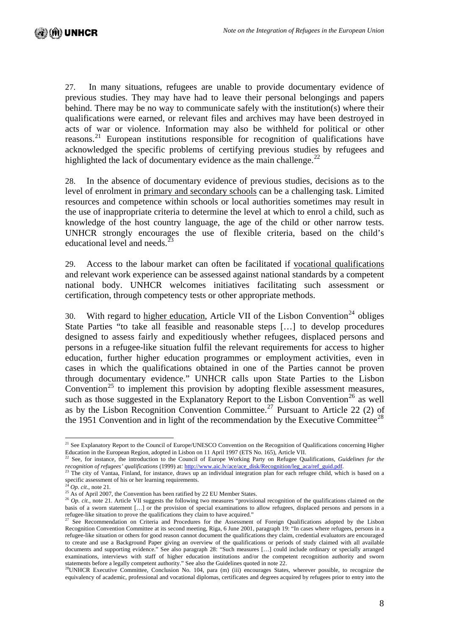27. In many situations, refugees are unable to provide documentary evidence of previous studies. They may have had to leave their personal belongings and papers behind. There may be no way to communicate safely with the institution(s) where their qualifications were earned, or relevant files and archives may have been destroyed in acts of war or violence. Information may also be withheld for political or other reasons.[21](#page-7-0) European institutions responsible for recognition of qualifications have acknowledged the specific problems of certifying previous studies by refugees and highlighted the lack of documentary evidence as the main challenge. $^{22}$  $^{22}$  $^{22}$ 

28. In the absence of documentary evidence of previous studies, decisions as to the level of enrolment in primary and secondary schools can be a challenging task. Limited resources and competence within schools or local authorities sometimes may result in the use of inappropriate criteria to determine the level at which to enrol a child, such as knowledge of the host country language, the age of the child or other narrow tests. UNHCR strongly encourages the use of flexible criteria, based on the child's educational level and needs.<sup>[23](#page-7-2)</sup>

29. Access to the labour market can often be facilitated if vocational qualifications and relevant work experience can be assessed against national standards by a competent national body. UNHCR welcomes initiatives facilitating such assessment or certification, through competency tests or other appropriate methods.

30. With regard to higher education, Article VII of the Lisbon Convention<sup>[24](#page-7-3)</sup> obliges State Parties "to take all feasible and reasonable steps […] to develop procedures designed to assess fairly and expeditiously whether refugees, displaced persons and persons in a refugee-like situation fulfil the relevant requirements for access to higher education, further higher education programmes or employment activities, even in cases in which the qualifications obtained in one of the Parties cannot be proven through documentary evidence." UNHCR calls upon State Parties to the Lisbon Convention<sup>[25](#page-7-4)</sup> to implement this provision by adopting flexible assessment measures, such as those suggested in the Explanatory Report to the Lisbon Convention<sup>[26](#page-7-5)</sup> as well as by the Lisbon Recognition Convention Committee.<sup>[27](#page-7-6)</sup> Pursuant to Article 22 (2) of the 1951 Convention and in light of the recommendation by the Executive Committee<sup>[28](#page-7-7)</sup>

 $\overline{a}$ 

<span id="page-7-0"></span> $21$  See Explanatory Report to the Council of Europe/UNESCO Convention on the Recognition of Qualifications concerning Higher

<span id="page-7-1"></span>Education in the European Region, adopted in Lisbon on 11 April 1997 (ETS No. 165), Article VII.<br><sup>22</sup> See, for instance, the introduction to the Council of Europe Working Party on Refugee Qualifications, *Guidelines for t* 

<span id="page-7-2"></span><sup>&</sup>lt;sup>23</sup> The city of Vantaa, Finland, for instance, draws up an individual integration plan for each refugee child, which is based on a specific assessment of his or her learning requirements.

<sup>24</sup> *Op. cit*., note 21*.*

<span id="page-7-3"></span> $25$  As of April 2007, the Convention has been ratified by 22 EU Member States.

<span id="page-7-5"></span><span id="page-7-4"></span><sup>&</sup>lt;sup>26</sup> *Op. cit.*, note 21. Article VII suggests the following two measures "provisional recognition of the qualifications claimed on the basis of a sworn statement […] or the provision of special examinations to allow refugees, displaced persons and persons in a refugee-like situation to prove the qualifications they claim to have acquired."<br><sup>27</sup> See Recommendation on Criteria and Procedures for the Assessment of Foreign Qualifications adopted by the Lisbon

<span id="page-7-6"></span>Recognition Convention Committee at its second meeting, Riga, 6 June 2001, paragraph 19: "In cases where refugees, persons in a refugee-like situation or others for good reason cannot document the qualifications they claim, credential evaluators are encouraged to create and use a Background Paper giving an overview of the qualifications or periods of study claimed with all available documents and supporting evidence." See also paragraph 28: "Such measures […] could include ordinary or specially arranged examinations, interviews with staff of higher education institutions and/or the competent recognition authority and sworn statements before a legally competent authority." See also the Guidelines quoted in note 22. <sup>28</sup>UNHCR Executive Committee, Conclusion No. 104, para (m) (iii) encourages States, wherever possible, to recognize the

<span id="page-7-7"></span>equivalency of academic, professional and vocational diplomas, certificates and degrees acquired by refugees prior to entry into the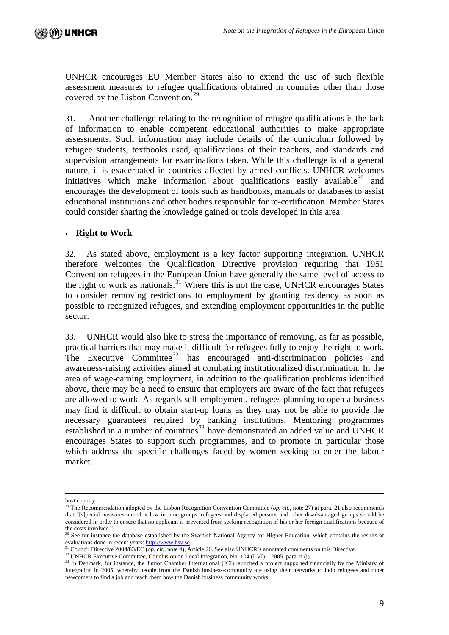UNHCR encourages EU Member States also to extend the use of such flexible assessment measures to refugee qualifications obtained in countries other than those covered by the Lisbon Convention.<sup>[29](#page-8-0)</sup>

31. Another challenge relating to the recognition of refugee qualifications is the lack of information to enable competent educational authorities to make appropriate assessments. Such information may include details of the curriculum followed by refugee students, textbooks used, qualifications of their teachers, and standards and supervision arrangements for examinations taken. While this challenge is of a general nature, it is exacerbated in countries affected by armed conflicts. UNHCR welcomes initiatives which make information about qualifications easily available  $30^{\circ}$  $30^{\circ}$  and encourages the development of tools such as handbooks, manuals or databases to assist educational institutions and other bodies responsible for re-certification. Member States could consider sharing the knowledge gained or tools developed in this area.

## **Right to Work**

32. As stated above, employment is a key factor supporting integration. UNHCR therefore welcomes the Qualification Directive provision requiring that 1951 Convention refugees in the European Union have generally the same level of access to the right to work as nationals. $31$  Where this is not the case, UNHCR encourages States to consider removing restrictions to employment by granting residency as soon as possible to recognized refugees, and extending employment opportunities in the public sector.

33. UNHCR would also like to stress the importance of removing, as far as possible, practical barriers that may make it difficult for refugees fully to enjoy the right to work. The Executive Committee<sup>[32](#page-8-3)</sup> has encouraged anti-discrimination policies and awareness-raising activities aimed at combating institutionalized discrimination. In the area of wage-earning employment, in addition to the qualification problems identified above, there may be a need to ensure that employers are aware of the fact that refugees are allowed to work. As regards self-employment, refugees planning to open a business may find it difficult to obtain start-up loans as they may not be able to provide the necessary guarantees required by banking institutions. Mentoring programmes established in a number of countries<sup>[33](#page-8-4)</sup> have demonstrated an added value and UNHCR encourages States to support such programmes, and to promote in particular those which address the specific challenges faced by women seeking to enter the labour market.

host country.

<span id="page-8-0"></span><sup>&</sup>lt;sup>29</sup> The Recommendation adopted by the Lisbon Recognition Convention Committee (*op. cit.*, note 27) at para. 21 also recommends that "[s]pecial measures aimed at low income groups, refugees and displaced persons and other disadvantaged groups should be considered in order to ensure that no applicant is prevented from seeking recognition of his or her foreign qualifications because of the costs involved."

 $30$  See for instance the database established by the Swedish National Agency for Higher Education, which contains the results of

<span id="page-8-1"></span>evaluations done in recent years: [http://www.hsv.se](http://www.hsv.se/).<br>
<sup>31</sup> Council Directive 2004/83/EC (*op. cit.*, note 4), Article 26. See also UNHCR's annotated comments on this Directive.

<span id="page-8-4"></span><span id="page-8-3"></span><span id="page-8-2"></span><sup>&</sup>lt;sup>32</sup> UNHCR Executive Committee, Conclusion on Local Integration, No. 104 (LVI) – 2005, para. n (i).<br><sup>33</sup> In Denmark, for instance, the Junior Chamber International (JCI) launched a project supported financially by the Min Integration in 2005, whereby people from the Danish business-community are using their networks to help refugees and other newcomers to find a job and teach them how the Danish business community works.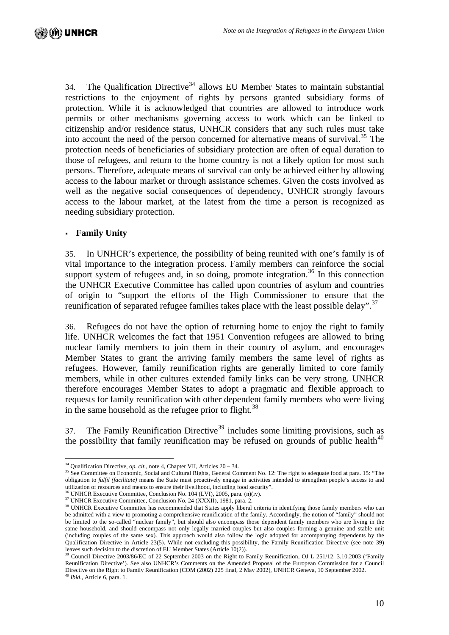[34](#page-9-0). The Qualification Directive<sup>34</sup> allows EU Member States to maintain substantial restrictions to the enjoyment of rights by persons granted subsidiary forms of protection. While it is acknowledged that countries are allowed to introduce work permits or other mechanisms governing access to work which can be linked to citizenship and/or residence status, UNHCR considers that any such rules must take into account the need of the person concerned for alternative means of survival.<sup>[35](#page-9-1)</sup> The protection needs of beneficiaries of subsidiary protection are often of equal duration to those of refugees, and return to the home country is not a likely option for most such persons. Therefore, adequate means of survival can only be achieved either by allowing access to the labour market or through assistance schemes. Given the costs involved as well as the negative social consequences of dependency, UNHCR strongly favours access to the labour market, at the latest from the time a person is recognized as needing subsidiary protection.

#### **Family Unity**

35. In UNHCR's experience, the possibility of being reunited with one's family is of vital importance to the integration process. Family members can reinforce the social support system of refugees and, in so doing, promote integration.<sup>[36](#page-9-2)</sup> In this connection the UNHCR Executive Committee has called upon countries of asylum and countries of origin to "support the efforts of the High Commissioner to ensure that the reunification of separated refugee families takes place with the least possible delay".<sup>[37](#page-9-3)</sup>

36. Refugees do not have the option of returning home to enjoy the right to family life. UNHCR welcomes the fact that 1951 Convention refugees are allowed to bring nuclear family members to join them in their country of asylum, and encourages Member States to grant the arriving family members the same level of rights as refugees. However, family reunification rights are generally limited to core family members, while in other cultures extended family links can be very strong. UNHCR therefore encourages Member States to adopt a pragmatic and flexible approach to requests for family reunification with other dependent family members who were living in the same household as the refugee prior to flight.<sup>[38](#page-9-4)</sup>

37. The Family Reunification Directive<sup>[39](#page-9-5)</sup> includes some limiting provisions, such as the possibility that family reunification may be refused on grounds of public health<sup>[40](#page-9-6)</sup>

<span id="page-9-0"></span> $34$  Oualification Directive, op. cit., note 4, Chapter VII, Articles  $20 - 34$ .

<span id="page-9-1"></span><sup>&</sup>lt;sup>35</sup> See Committee on Economic, Social and Cultural Rights, General Comment No. 12: The right to adequate food at para. 15: "The obligation to *fulfil* (*facilitate*) means the State must proactively engage in activities intended to strengthen people's access to and utilization of resources and means to ensure their livelihood, including food securi

<span id="page-9-2"></span><sup>&</sup>lt;sup>36</sup> UNHCR Executive Committee, Conclusion No. 104 (LVI), 2005, para. (n)(iv).<br><sup>37</sup> UNHCR Executive Committee, Conclusion No. 24 (XXXII), 1981, para. 2.

<span id="page-9-4"></span><span id="page-9-3"></span><sup>&</sup>lt;sup>38</sup> UNHCR Executive Committee has recommended that States apply liberal criteria in identifying those family members who can be admitted with a view to promoting a comprehensive reunification of the family. Accordingly, the notion of "family" should not be limited to the so-called "nuclear family", but should also encompass those dependent family members who are living in the same household, and should encompass not only legally married couples but also couples forming a genuine and stable unit (including couples of the same sex). This approach would also follow the logic adopted for accompanying dependents by the Qualification Directive in Article 23(5). While not excluding this possibility, the Family Reunification Directive (see note 39) leaves such decision to the discretion of EU Member States (Article 10(2)).

<span id="page-9-6"></span><span id="page-9-5"></span><sup>&</sup>lt;sup>39</sup> Council Directive 2003/86/EC of 22 September 2003 on the Right to Family Reunification, OJ L 251/12, 3.10.2003 ('Family Reunification Directive'). See also UNHCR's Comments on the Amended Proposal of the European Commission for a Council Directive on the Right to Family Reunification (COM (2002) 225 final, 2 May 2002), UNHCR Geneva, 10 September 2002. *40 Ibid*., Article 6, para. 1.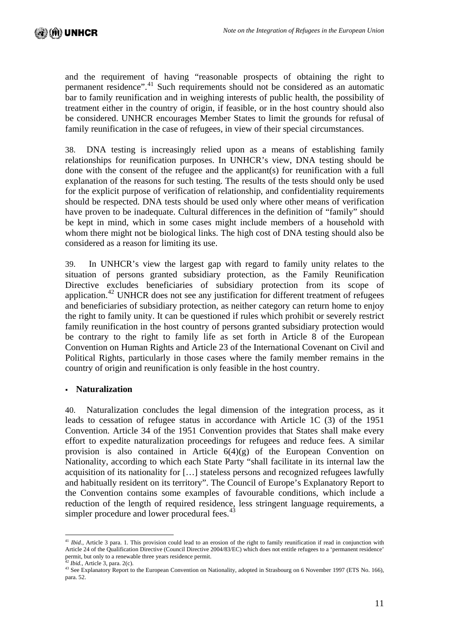and the requirement of having "reasonable prospects of obtaining the right to permanent residence".<sup>[41](#page-10-0)</sup> Such requirements should not be considered as an automatic bar to family reunification and in weighing interests of public health, the possibility of treatment either in the country of origin, if feasible, or in the host country should also be considered. UNHCR encourages Member States to limit the grounds for refusal of family reunification in the case of refugees, in view of their special circumstances.

38. DNA testing is increasingly relied upon as a means of establishing family relationships for reunification purposes. In UNHCR's view, DNA testing should be done with the consent of the refugee and the applicant(s) for reunification with a full explanation of the reasons for such testing. The results of the tests should only be used for the explicit purpose of verification of relationship, and confidentiality requirements should be respected. DNA tests should be used only where other means of verification have proven to be inadequate. Cultural differences in the definition of "family" should be kept in mind, which in some cases might include members of a household with whom there might not be biological links. The high cost of DNA testing should also be considered as a reason for limiting its use.

39. In UNHCR's view the largest gap with regard to family unity relates to the situation of persons granted subsidiary protection, as the Family Reunification Directive excludes beneficiaries of subsidiary protection from its scope of application.<sup>[42](#page-10-1)</sup> UNHCR does not see any justification for different treatment of refugees and beneficiaries of subsidiary protection, as neither category can return home to enjoy the right to family unity. It can be questioned if rules which prohibit or severely restrict family reunification in the host country of persons granted subsidiary protection would be contrary to the right to family life as set forth in Article 8 of the European Convention on Human Rights and Article 23 of the International Covenant on Civil and Political Rights, particularly in those cases where the family member remains in the country of origin and reunification is only feasible in the host country.

#### **Naturalization**

40. Naturalization concludes the legal dimension of the integration process, as it leads to cessation of refugee status in accordance with Article 1C (3) of the 1951 Convention. Article 34 of the 1951 Convention provides that States shall make every effort to expedite naturalization proceedings for refugees and reduce fees. A similar provision is also contained in Article  $6(4)(g)$  of the European Convention on Nationality, according to which each State Party "shall facilitate in its internal law the acquisition of its nationality for […] stateless persons and recognized refugees lawfully and habitually resident on its territory". The Council of Europe's Explanatory Report to the Convention contains some examples of favourable conditions, which include a reduction of the length of required residence, less stringent language requirements, a simpler procedure and lower procedural fees.<sup>[43](#page-10-2)</sup>

<span id="page-10-0"></span> $\overline{a}$ <sup>41</sup> *Ibid.*, Article 3 para. 1. This provision could lead to an erosion of the right to family reunification if read in conjunction with Article 24 of the Qualification Directive (Council Directive 2004/83/EC) which does not entitle refugees to a 'permanent residence' permit, but only to a renewable three years residence permit.

<span id="page-10-2"></span><span id="page-10-1"></span><sup>&</sup>lt;sup>42</sup> *Ibid.*, Article 3, para. 2(c).<br><sup>43</sup> See Explanatory Report to the European Convention on Nationality, adopted in Strasbourg on 6 November 1997 (ETS No. 166), para. 52.